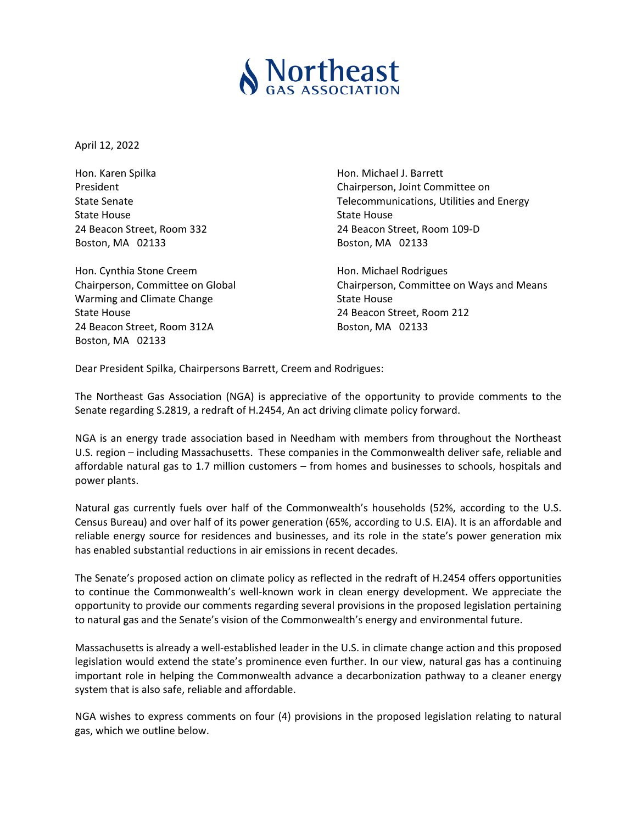

April 12, 2022

Hon. Karen Spilka Hon. Michael J. Barrett State House **Contract Contract Contract Contract Contract Contract Contract Contract Contract Contract Contract Contract Contract Contract Contract Contract Contract Contract Contract Contract Contract Contract Contract Co** Boston, MA 02133 Boston, MA 02133

Hon. Cynthia Stone Creem Hon. Michael Rodrigues Warming and Climate Change **State House** State House State House 24 Beacon Street, Room 212 24 Beacon Street, Room 312A Boston, MA 02133 Boston, MA 02133

President **Chairperson, Joint Committee on** State Senate **Telecommunications, Utilities and Energy** State Senate 24 Beacon Street, Room 332 24 Beacon Street, Room 109‐D

Chairperson, Committee on Global Chairperson, Committee on Ways and Means

Dear President Spilka, Chairpersons Barrett, Creem and Rodrigues:

The Northeast Gas Association (NGA) is appreciative of the opportunity to provide comments to the Senate regarding S.2819, a redraft of H.2454, An act driving climate policy forward.

NGA is an energy trade association based in Needham with members from throughout the Northeast U.S. region – including Massachusetts. These companies in the Commonwealth deliver safe, reliable and affordable natural gas to 1.7 million customers – from homes and businesses to schools, hospitals and power plants.

Natural gas currently fuels over half of the Commonwealth's households (52%, according to the U.S. Census Bureau) and over half of its power generation (65%, according to U.S. EIA). It is an affordable and reliable energy source for residences and businesses, and its role in the state's power generation mix has enabled substantial reductions in air emissions in recent decades.

The Senate's proposed action on climate policy as reflected in the redraft of H.2454 offers opportunities to continue the Commonwealth's well-known work in clean energy development. We appreciate the opportunity to provide our comments regarding several provisions in the proposed legislation pertaining to natural gas and the Senate's vision of the Commonwealth's energy and environmental future.

Massachusetts is already a well‐established leader in the U.S. in climate change action and this proposed legislation would extend the state's prominence even further. In our view, natural gas has a continuing important role in helping the Commonwealth advance a decarbonization pathway to a cleaner energy system that is also safe, reliable and affordable.

NGA wishes to express comments on four (4) provisions in the proposed legislation relating to natural gas, which we outline below.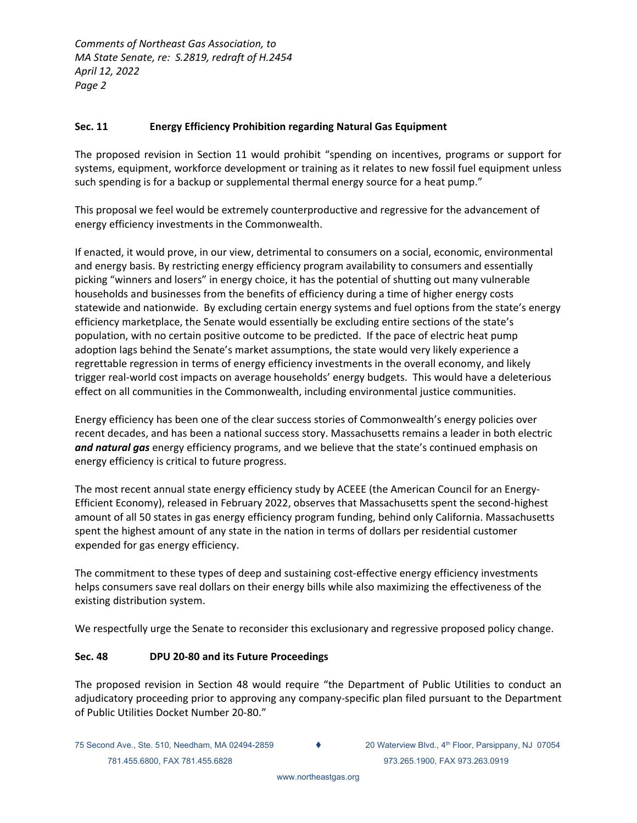## **Sec. 11 Energy Efficiency Prohibition regarding Natural Gas Equipment**

The proposed revision in Section 11 would prohibit "spending on incentives, programs or support for systems, equipment, workforce development or training as it relates to new fossil fuel equipment unless such spending is for a backup or supplemental thermal energy source for a heat pump."

This proposal we feel would be extremely counterproductive and regressive for the advancement of energy efficiency investments in the Commonwealth.

If enacted, it would prove, in our view, detrimental to consumers on a social, economic, environmental and energy basis. By restricting energy efficiency program availability to consumers and essentially picking "winners and losers" in energy choice, it has the potential of shutting out many vulnerable households and businesses from the benefits of efficiency during a time of higher energy costs statewide and nationwide. By excluding certain energy systems and fuel options from the state's energy efficiency marketplace, the Senate would essentially be excluding entire sections of the state's population, with no certain positive outcome to be predicted. If the pace of electric heat pump adoption lags behind the Senate's market assumptions, the state would very likely experience a regrettable regression in terms of energy efficiency investments in the overall economy, and likely trigger real‐world cost impacts on average households' energy budgets. This would have a deleterious effect on all communities in the Commonwealth, including environmental justice communities.

Energy efficiency has been one of the clear success stories of Commonwealth's energy policies over recent decades, and has been a national success story. Massachusetts remains a leader in both electric *and natural gas* energy efficiency programs, and we believe that the state's continued emphasis on energy efficiency is critical to future progress.

The most recent annual state energy efficiency study by ACEEE (the American Council for an Energy‐ Efficient Economy), released in February 2022, observes that Massachusetts spent the second‐highest amount of all 50 states in gas energy efficiency program funding, behind only California. Massachusetts spent the highest amount of any state in the nation in terms of dollars per residential customer expended for gas energy efficiency.

The commitment to these types of deep and sustaining cost-effective energy efficiency investments helps consumers save real dollars on their energy bills while also maximizing the effectiveness of the existing distribution system.

We respectfully urge the Senate to reconsider this exclusionary and regressive proposed policy change.

## **Sec. 48 DPU 20‐80 and its Future Proceedings**

The proposed revision in Section 48 would require "the Department of Public Utilities to conduct an adjudicatory proceeding prior to approving any company‐specific plan filed pursuant to the Department of Public Utilities Docket Number 20‐80."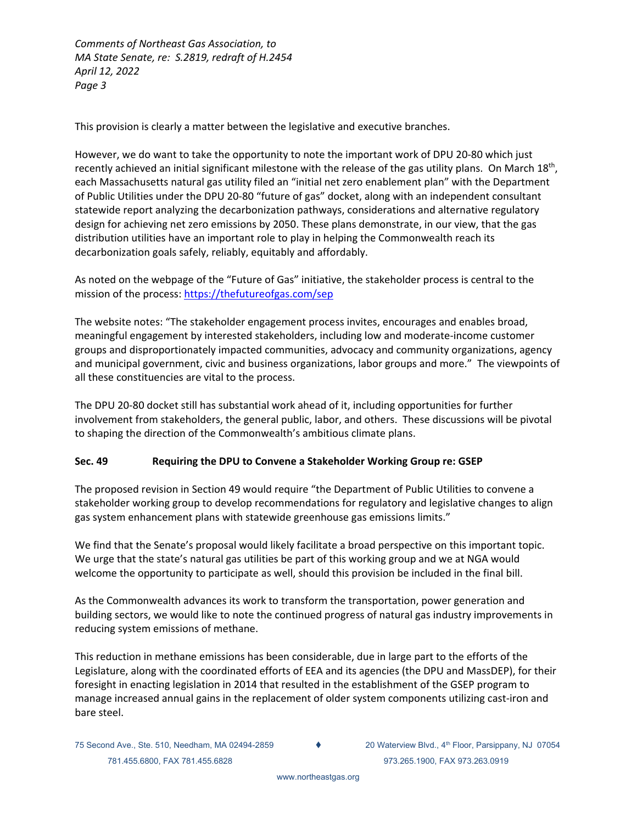This provision is clearly a matter between the legislative and executive branches.

However, we do want to take the opportunity to note the important work of DPU 20‐80 which just recently achieved an initial significant milestone with the release of the gas utility plans. On March 18<sup>th</sup>, each Massachusetts natural gas utility filed an "initial net zero enablement plan" with the Department of Public Utilities under the DPU 20‐80 "future of gas" docket, along with an independent consultant statewide report analyzing the decarbonization pathways, considerations and alternative regulatory design for achieving net zero emissions by 2050. These plans demonstrate, in our view, that the gas distribution utilities have an important role to play in helping the Commonwealth reach its decarbonization goals safely, reliably, equitably and affordably.

As noted on the webpage of the "Future of Gas" initiative, the stakeholder process is central to the mission of the process: https://thefutureofgas.com/sep

The website notes: "The stakeholder engagement process invites, encourages and enables broad, meaningful engagement by interested stakeholders, including low and moderate‐income customer groups and disproportionately impacted communities, advocacy and community organizations, agency and municipal government, civic and business organizations, labor groups and more." The viewpoints of all these constituencies are vital to the process.

The DPU 20‐80 docket still has substantial work ahead of it, including opportunities for further involvement from stakeholders, the general public, labor, and others. These discussions will be pivotal to shaping the direction of the Commonwealth's ambitious climate plans.

## **Sec. 49 Requiring the DPU to Convene a Stakeholder Working Group re: GSEP**

The proposed revision in Section 49 would require "the Department of Public Utilities to convene a stakeholder working group to develop recommendations for regulatory and legislative changes to align gas system enhancement plans with statewide greenhouse gas emissions limits."

We find that the Senate's proposal would likely facilitate a broad perspective on this important topic. We urge that the state's natural gas utilities be part of this working group and we at NGA would welcome the opportunity to participate as well, should this provision be included in the final bill.

As the Commonwealth advances its work to transform the transportation, power generation and building sectors, we would like to note the continued progress of natural gas industry improvements in reducing system emissions of methane.

This reduction in methane emissions has been considerable, due in large part to the efforts of the Legislature, along with the coordinated efforts of EEA and its agencies (the DPU and MassDEP), for their foresight in enacting legislation in 2014 that resulted in the establishment of the GSEP program to manage increased annual gains in the replacement of older system components utilizing cast-iron and bare steel.

75 Second Ave., Ste. 510, Needham, MA 02494-2859 (20 Waterview Blvd., 4th Floor, Parsippany, NJ 07054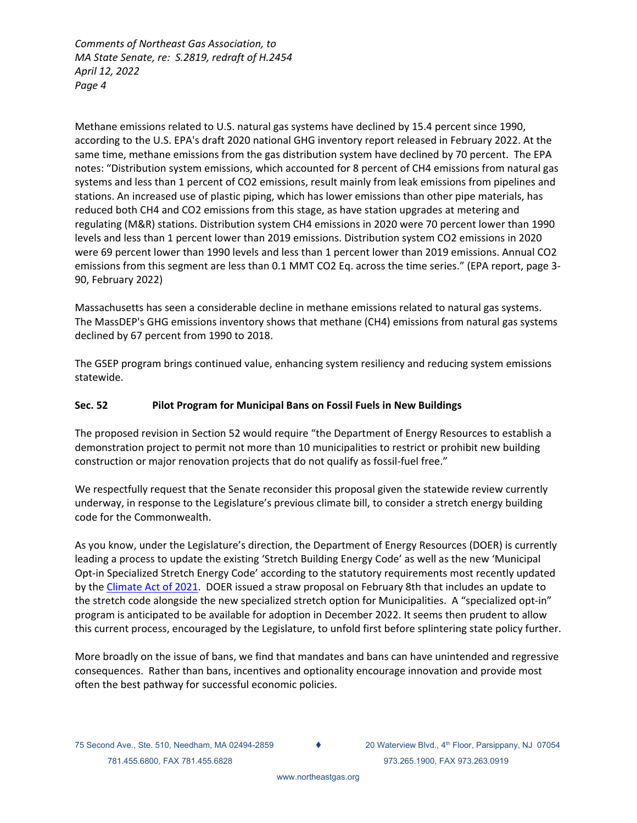Methane emissions related to U.S. natural gas systems have declined by 15.4 percent since 1990, according to the U.S. EPA's draft 2020 national GHG inventory report released in February 2022. At the same time, methane emissions from the gas distribution system have declined by 70 percent. The EPA notes: "Distribution system emissions, which accounted for 8 percent of CH4 emissions from natural gas systems and less than 1 percent of CO2 emissions, result mainly from leak emissions from pipelines and stations. An increased use of plastic piping, which has lower emissions than other pipe materials, has reduced both CH4 and CO2 emissions from this stage, as have station upgrades at metering and regulating (M&R) stations. Distribution system CH4 emissions in 2020 were 70 percent lower than 1990 levels and less than 1 percent lower than 2019 emissions. Distribution system CO2 emissions in 2020 were 69 percent lower than 1990 levels and less than 1 percent lower than 2019 emissions. Annual CO2 emissions from this segment are less than 0.1 MMT CO2 Eq. across the time series." (EPA report, page 3‐ 90, February 2022)

Massachusetts has seen a considerable decline in methane emissions related to natural gas systems. The MassDEP's GHG emissions inventory shows that methane (CH4) emissions from natural gas systems declined by 67 percent from 1990 to 2018.

The GSEP program brings continued value, enhancing system resiliency and reducing system emissions statewide.

## **Sec. 52 Pilot Program for Municipal Bans on Fossil Fuels in New Buildings**

The proposed revision in Section 52 would require "the Department of Energy Resources to establish a demonstration project to permit not more than 10 municipalities to restrict or prohibit new building construction or major renovation projects that do not qualify as fossil‐fuel free."

We respectfully request that the Senate reconsider this proposal given the statewide review currently underway, in response to the Legislature's previous climate bill, to consider a stretch energy building code for the Commonwealth.

As you know, under the Legislature's direction, the Department of Energy Resources (DOER) is currently leading a process to update the existing 'Stretch Building Energy Code' as well as the new 'Municipal Opt‐in Specialized Stretch Energy Code' according to the statutory requirements most recently updated by the Climate Act of 2021. DOER issued a straw proposal on February 8th that includes an update to the stretch code alongside the new specialized stretch option for Municipalities. A "specialized opt-in" program is anticipated to be available for adoption in December 2022. It seems then prudent to allow this current process, encouraged by the Legislature, to unfold first before splintering state policy further.

More broadly on the issue of bans, we find that mandates and bans can have unintended and regressive consequences. Rather than bans, incentives and optionality encourage innovation and provide most often the best pathway for successful economic policies.